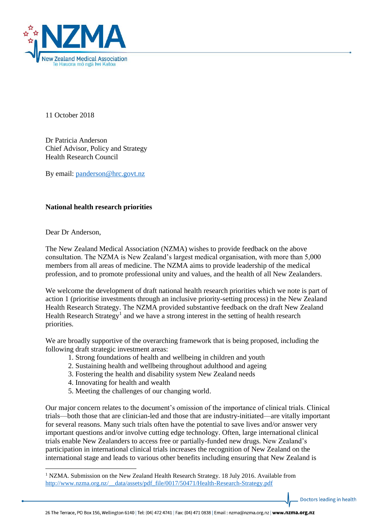

11 October 2018

Dr Patricia Anderson Chief Advisor, Policy and Strategy Health Research Council

By email: [panderson@hrc.govt.nz](mailto:panderson@hrc.govt.nz)

## **National health research priorities**

Dear Dr Anderson,

1

The New Zealand Medical Association (NZMA) wishes to provide feedback on the above consultation. The NZMA is New Zealand's largest medical organisation, with more than 5,000 members from all areas of medicine. The NZMA aims to provide leadership of the medical profession, and to promote professional unity and values, and the health of all New Zealanders.

We welcome the development of draft national health research priorities which we note is part of action 1 (prioritise investments through an inclusive priority-setting process) in the New Zealand Health Research Strategy. The NZMA provided substantive feedback on the draft New Zealand Health Research Strategy<sup>1</sup> and we have a strong interest in the setting of health research priorities.

We are broadly supportive of the overarching framework that is being proposed, including the following draft strategic investment areas:

- 1. Strong foundations of health and wellbeing in children and youth
- 2. Sustaining health and wellbeing throughout adulthood and ageing
- 3. Fostering the health and disability system New Zealand needs
- 4. Innovating for health and wealth
- 5. Meeting the challenges of our changing world.

Our major concern relates to the document's omission of the importance of clinical trials. Clinical trials—both those that are clinician-led and those that are industry-initiated—are vitally important for several reasons. Many such trials often have the potential to save lives and/or answer very important questions and/or involve cutting edge technology. Often, large international clinical trials enable New Zealanders to access free or partially-funded new drugs. New Zealand's participation in international clinical trials increases the recognition of New Zealand on the international stage and leads to various other benefits including ensuring that New Zealand is

Doctors leading in health

 $1$  NZMA. Submission on the New Zealand Health Research Strategy. 18 July 2016. Available from [http://www.nzma.org.nz/\\_\\_data/assets/pdf\\_file/0017/50471/Health-Research-Strategy.pdf](http://www.nzma.org.nz/__data/assets/pdf_file/0017/50471/Health-Research-Strategy.pdf)